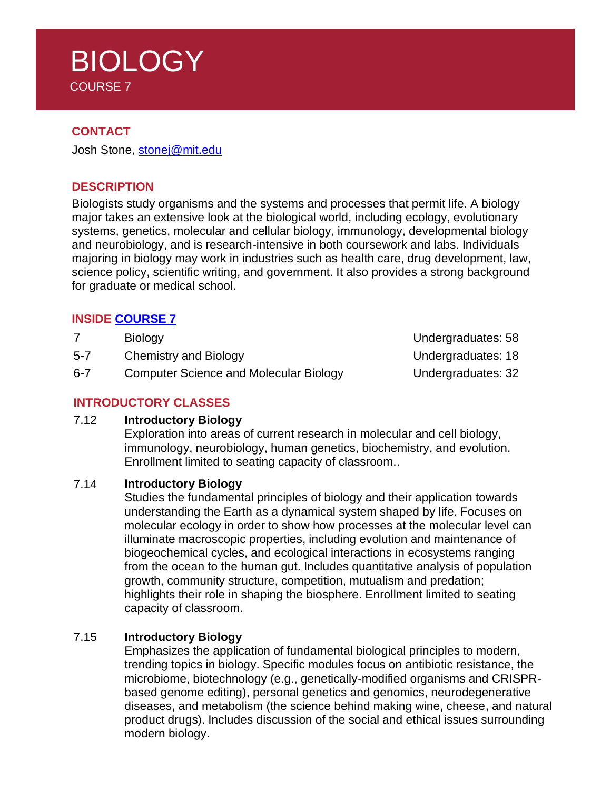# **BIOLOGY** COURSE 7

### **CONTACT**

Josh Stone, [stonej@mit.edu](mailto:stonej@mit.edu)

### **DESCRIPTION**

Biologists study organisms and the systems and processes that permit life. A biology major takes an extensive look at the biological world, including ecology, evolutionary systems, genetics, molecular and cellular biology, immunology, developmental biology and neurobiology, and is research-intensive in both coursework and labs. Individuals majoring in biology may work in industries such as health care, drug development, law, science policy, scientific writing, and government. It also provides a strong background for graduate or medical school.

### **INSIDE [COURSE](https://biology.mit.edu/undergraduate/major-minor-requirements/) 7**

|              | <b>Biology</b>         |  |
|--------------|------------------------|--|
| $\epsilon$ 7 | Chamistrus and Dialams |  |

- 5-7 Chemistry and Biology Channel Chemistry and Biology Chemistry and Biology Chemistry Business: 18
- 6-7 Computer Science and Molecular Biology Condergraduates: 32

### **INTRODUCTORY CLASSES**

#### 7.12 **Introductory Biology**

Exploration into areas of current research in molecular and cell biology, immunology, neurobiology, human genetics, biochemistry, and evolution. Enrollment limited to seating capacity of classroom..

#### 7.14 **Introductory Biology**

Studies the fundamental principles of biology and their application towards understanding the Earth as a dynamical system shaped by life. Focuses on molecular ecology in order to show how processes at the molecular level can illuminate macroscopic properties, including evolution and maintenance of biogeochemical cycles, and ecological interactions in ecosystems ranging from the ocean to the human gut. Includes quantitative analysis of population growth, community structure, competition, mutualism and predation; highlights their role in shaping the biosphere. Enrollment limited to seating capacity of classroom.

### 7.15 **Introductory Biology**

Emphasizes the application of fundamental biological principles to modern, trending topics in biology. Specific modules focus on antibiotic resistance, the microbiome, biotechnology (e.g., genetically-modified organisms and CRISPRbased genome editing), personal genetics and genomics, neurodegenerative diseases, and metabolism (the science behind making wine, cheese, and natural product drugs). Includes discussion of the social and ethical issues surrounding modern biology.

Undergraduates: 58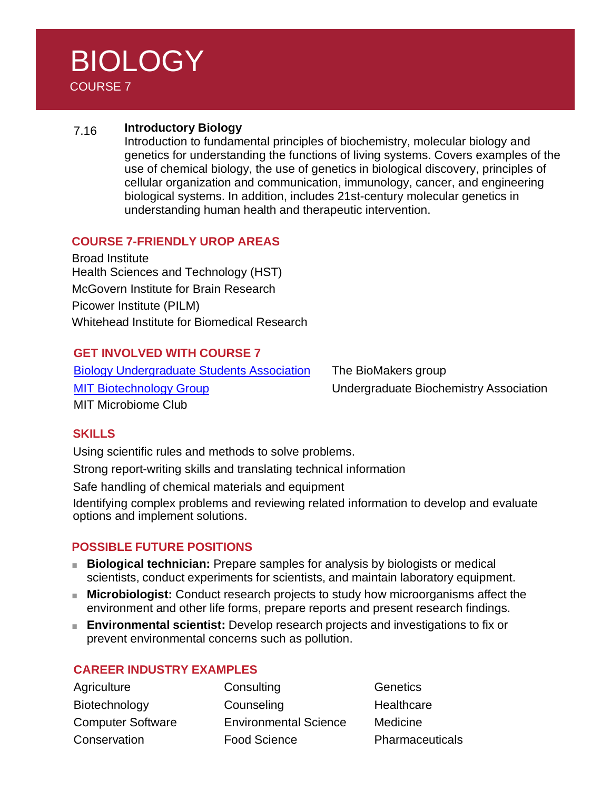# BIOLOGY COURSE 7

## 7.16 **Introductory Biology**

Introduction to fundamental principles of biochemistry, molecular biology and genetics for understanding the functions of living systems. Covers examples of the use of chemical biology, the use of genetics in biological discovery, principles of cellular organization and communication, immunology, cancer, and engineering biological systems. In addition, includes 21st-century molecular genetics in understanding human health and therapeutic intervention.

## **COURSE 7-FRIENDLY UROP AREAS**

Broad Institute Health Sciences and Technology (HST) McGovern Institute for Brain Research Picower Institute (PILM) Whitehead Institute for Biomedical Research

## **GET INVOLVED WITH COURSE 7**

Biology [Undergraduate](http://busa.mit.edu/) Students Association The BioMakers group [MIT Biotechnology](https://biotech.mit.edu/) Group Undergraduate Biochemistry Association MIT Microbiome Club

### **SKILLS**

Using scientific rules and methods to solve problems.

Strong report-writing skills and translating technical information

Safe handling of chemical materials and equipment

Identifying complex problems and reviewing related information to develop and evaluate options and implement solutions.

### **POSSIBLE FUTURE POSITIONS**

- **Biological technician:** Prepare samples for analysis by biologists or medical scientists, conduct experiments for scientists, and maintain laboratory equipment.
- **Microbiologist:** Conduct research projects to study how microorganisms affect the environment and other life forms, prepare reports and present research findings.
- **Environmental scientist:** Develop research projects and investigations to fix or prevent environmental concerns such as pollution.

### **CAREER INDUSTRY EXAMPLES**

Agriculture Consulting Consulting Genetics Biotechnology Counseling Counseling Healthcare Computer Software Environmental Science Medicine Conservation Food Science Pharmaceuticals